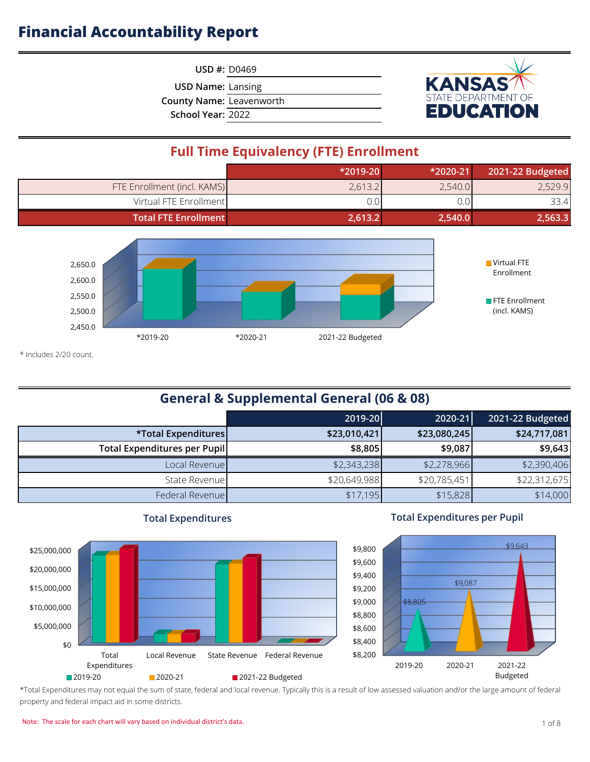**USD #:** D0469

**USD Name:** Lansing

**County Name:** Leavenworth

**School Year:** 2022



## **Full Time Equivalency (FTE) Enrollment**

|                             | $*2019-20$ | $*2020-21$ | 2021-22 Budgeted |
|-----------------------------|------------|------------|------------------|
| FTE Enrollment (incl. KAMS) | 2,613.2    | 2,540.0    | 2,529.9          |
| Virtual FTE Enrollment      | 0.0        | J.O        | 33.4             |
| <b>Total FTE Enrollment</b> | 2,613.2    | 2,540.0    | 2,563.3          |



\* Includes 2/20 count.

## **General & Supplemental General (06 & 08)**

|                                     | 2019-20      | 2020-21      | 2021-22 Budgeted |
|-------------------------------------|--------------|--------------|------------------|
| *Total Expenditures                 | \$23,010,421 | \$23,080,245 | \$24,717,081     |
| <b>Total Expenditures per Pupil</b> | \$8,805      | \$9,087      | \$9,643          |
| Local Revenue                       | \$2,343,238  | \$2,278,966  | \$2,390,406      |
| State Revenue                       | \$20,649,988 | \$20,785,451 | \$22,312,675     |
| Federal Revenue                     | \$17,195     | \$15,828     | \$14,000         |



#### **Total Expenditures**

#### **Total Expenditures per Pupil**



\*Total Expenditures may not equal the sum of state, federal and local revenue. Typically this is a result of low assessed valuation and/or the large amount of federal property and federal impact aid in some districts.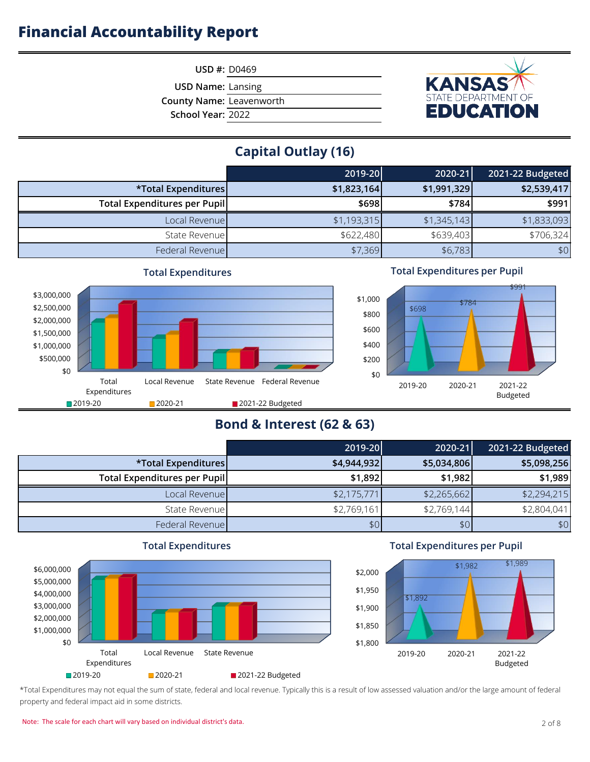

**USD #:** D0469

**USD Name:** Lansing

**County Name:** Leavenworth

**School Year:** 2022

## **Capital Outlay (16)**

|                              | 2019-20     | 2020-21     | 2021-22 Budgeted |
|------------------------------|-------------|-------------|------------------|
| *Total Expenditures          | \$1,823,164 | \$1,991,329 | \$2,539,417      |
| Total Expenditures per Pupil | \$698       | \$784       | \$991            |
| Local Revenue                | \$1,193,315 | \$1,345,143 | \$1,833,093      |
| State Revenue                | \$622,480   | \$639,403   | \$706,324        |
| Federal Revenue              | \$7,369     | \$6,783     | \$0              |



#### **Total Expenditures per Pupil**



## **Bond & Interest (62 & 63)**

|                              | 2019-20     | 2020-21     | 2021-22 Budgeted |
|------------------------------|-------------|-------------|------------------|
| *Total Expenditures          | \$4,944,932 | \$5,034,806 | \$5,098,256      |
| Total Expenditures per Pupil | \$1,892     | \$1,982     | \$1,989          |
| Local Revenue                | \$2,175,771 | \$2,265,662 | \$2,294,215      |
| State Revenue                | \$2,769,161 | \$2,769,144 | \$2,804,041      |
| Federal Revenue              | \$0         | \$0         | \$0              |



#### **Total Expenditures per Pupil**



\*Total Expenditures may not equal the sum of state, federal and local revenue. Typically this is a result of low assessed valuation and/or the large amount of federal property and federal impact aid in some districts.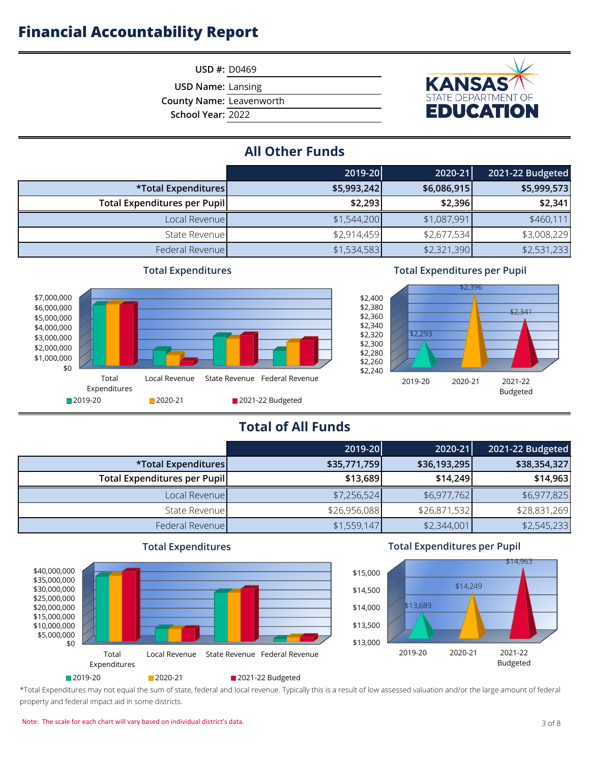

**USD Name:** Lansing

**County Name:** Leavenworth

**School Year:** 2022



## **All Other Funds**

|                                     | 2019-20     | 2020-21     | 2021-22 Budgeted |
|-------------------------------------|-------------|-------------|------------------|
| *Total Expenditures                 | \$5,993,242 | \$6,086,915 | \$5,999,573      |
| <b>Total Expenditures per Pupil</b> | \$2,293     | \$2,396     | \$2,341          |
| Local Revenue                       | \$1,544,200 | \$1,087,991 | \$460,111        |
| State Revenue                       | \$2,914,459 | \$2,677,534 | \$3,008,229      |
| Federal Revenue                     | \$1,534,583 | \$2,321,390 | \$2,531,233      |



#### **Total Expenditures**

#### **Total Expenditures per Pupil**



## **Total of All Funds**

|                                      | 2019-20      | 2020-21      | 2021-22 Budgeted |
|--------------------------------------|--------------|--------------|------------------|
| *Total Expenditures                  | \$35,771,759 | \$36,193,295 | \$38,354,327     |
| <b>Total Expenditures per Pupill</b> | \$13,689     | \$14,249     | \$14,963         |
| Local Revenue                        | \$7,256,524  | \$6,977,762  | \$6,977,825      |
| State Revenue                        | \$26,956,088 | \$26,871,532 | \$28,831,269     |
| Federal Revenue                      | \$1,559,147  | \$2,344,001  | \$2,545,233      |



#### **Total Expenditures per Pupil**



\*Total Expenditures may not equal the sum of state, federal and local revenue. Typically this is a result of low assessed valuation and/or the large amount of federal property and federal impact aid in some districts.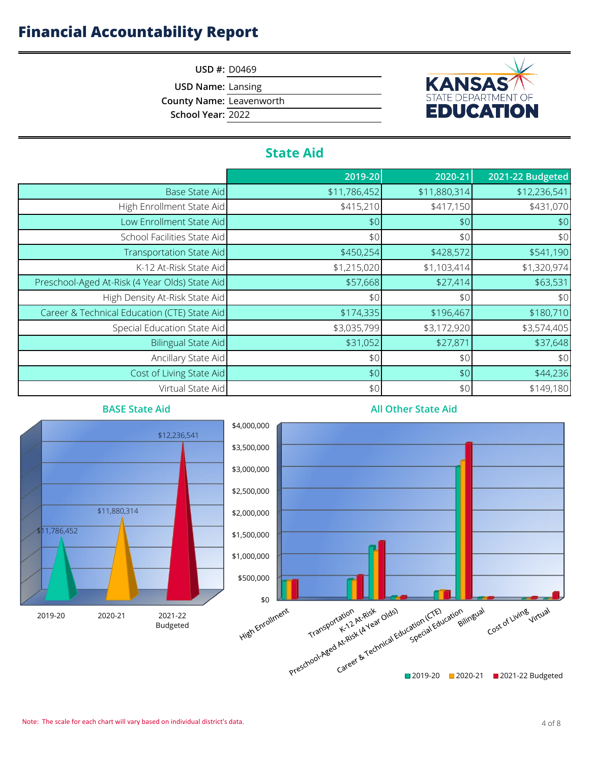

**USD #:** D0469

**USD Name:** Lansing

**County Name:** Leavenworth

**School Year:** 2022

## **State Aid**

|                                                | 2019-20      | 2020-21      | 2021-22 Budgeted |
|------------------------------------------------|--------------|--------------|------------------|
| <b>Base State Aid</b>                          | \$11,786,452 | \$11,880,314 | \$12,236,541     |
| High Enrollment State Aid                      | \$415,210    | \$417,150    | \$431,070        |
| Low Enrollment State Aid                       | \$0          | \$0          | \$0              |
| School Facilities State Aid                    | \$0          | \$0          | \$0              |
| Transportation State Aid                       | \$450,254    | \$428,572    | \$541,190        |
| K-12 At-Risk State Aid                         | \$1,215,020  | \$1,103,414  | \$1,320,974      |
| Preschool-Aged At-Risk (4 Year Olds) State Aid | \$57,668     | \$27,414     | \$63,531         |
| High Density At-Risk State Aid                 | \$0          | \$0          | \$0              |
| Career & Technical Education (CTE) State Aid   | \$174,335    | \$196,467    | \$180,710        |
| Special Education State Aid                    | \$3,035,799  | \$3,172,920  | \$3,574,405      |
| Bilingual State Aid                            | \$31,052     | \$27,871     | \$37,648         |
| Ancillary State Aid                            | \$0          | \$0          | \$0              |
| Cost of Living State Aid                       | \$0          | \$0          | \$44,236         |
| Virtual State Aid                              | \$0          | \$0          | \$149,180        |



#### **All Other State Aid**

\$11,786,452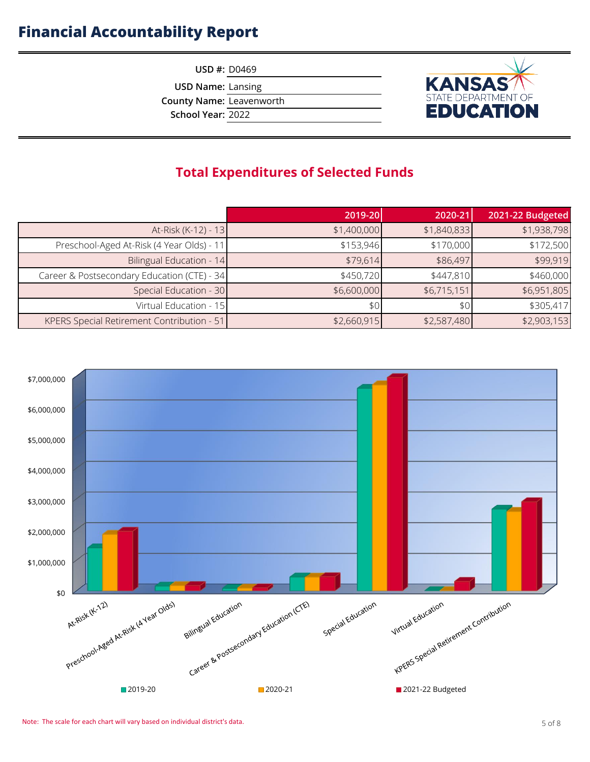**USD #:** D0469

**USD Name:** Lansing

**County Name:** Leavenworth

**School Year:** 2022



## **Total Expenditures of Selected Funds**

|                                             | 2019-20     | 2020-21     | 2021-22 Budgeted |
|---------------------------------------------|-------------|-------------|------------------|
| At-Risk (K-12) - 13                         | \$1,400,000 | \$1,840,833 | \$1,938,798      |
| Preschool-Aged At-Risk (4 Year Olds) - 11   | \$153,946   | \$170,000   | \$172,500        |
| Bilingual Education - 14                    | \$79,614    | \$86,497    | \$99,919         |
| Career & Postsecondary Education (CTE) - 34 | \$450,720   | \$447,810   | \$460,000        |
| Special Education - 30                      | \$6,600,000 | \$6,715,151 | \$6,951,805      |
| Virtual Education - 15                      | \$0         | \$0         | \$305,417        |
| KPERS Special Retirement Contribution - 51  | \$2,660,915 | \$2,587,480 | \$2,903,153      |

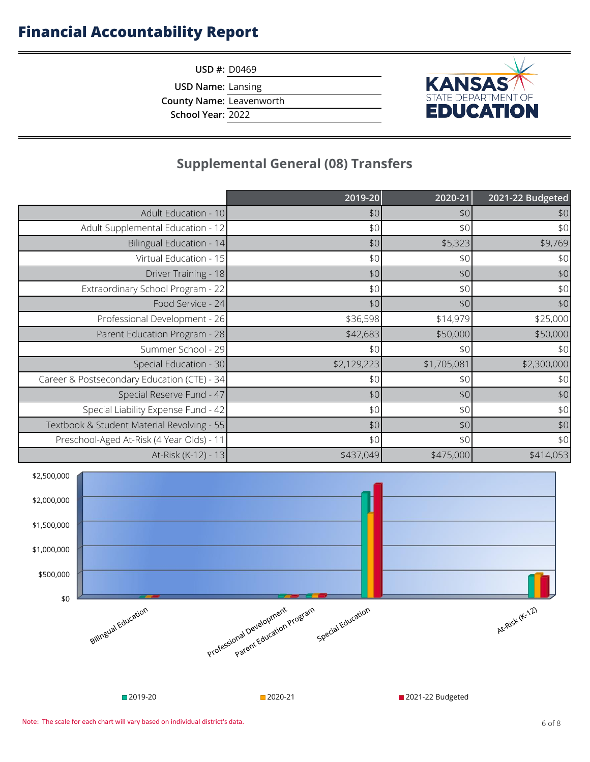**USD #:** D0469

**USD Name:** Lansing

**County Name:** Leavenworth

**School Year:** 2022

# **KANSAS**

## **Supplemental General (08) Transfers**

|                                             | 2019-20     | 2020-21     | 2021-22 Budgeted |
|---------------------------------------------|-------------|-------------|------------------|
| Adult Education - 10                        | \$0         | \$0         | \$0              |
| Adult Supplemental Education - 12           | \$0         | \$0         | \$0              |
| Bilingual Education - 14                    | \$0         | \$5,323     | \$9,769          |
| Virtual Education - 15                      | \$0         | \$0         | \$0              |
| Driver Training - 18                        | \$0         | \$0         | $$0$$            |
| Extraordinary School Program - 22           | \$0         | \$0         | $$0$$            |
| Food Service - 24                           | \$0         | \$0         | $$0$$            |
| Professional Development - 26               | \$36,598    | \$14,979    | \$25,000         |
| Parent Education Program - 28               | \$42,683    | \$50,000    | \$50,000         |
| Summer School - 29                          | \$0         | \$0         | \$0              |
| Special Education - 30                      | \$2,129,223 | \$1,705,081 | \$2,300,000      |
| Career & Postsecondary Education (CTE) - 34 | \$0         | \$0         | \$0              |
| Special Reserve Fund - 47                   | \$0         | \$0         | $$0$$            |
| Special Liability Expense Fund - 42         | \$0         | \$0         | \$0              |
| Textbook & Student Material Revolving - 55  | \$0         | \$0         | $$0$$            |
| Preschool-Aged At-Risk (4 Year Olds) - 11   | \$0         | \$0         | \$0              |
| At-Risk (K-12) - 13                         | \$437,049   | \$475,000   | \$414,053        |

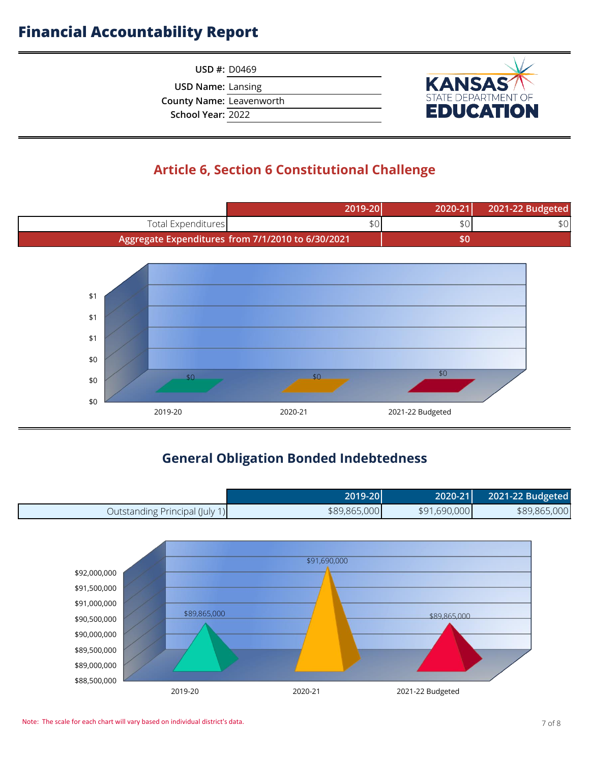**USD #:** D0469

**USD Name:** Lansing

**County Name:** Leavenworth

**School Year:** 2022



## **Article 6, Section 6 Constitutional Challenge**



## **General Obligation Bonded Indebtedness**